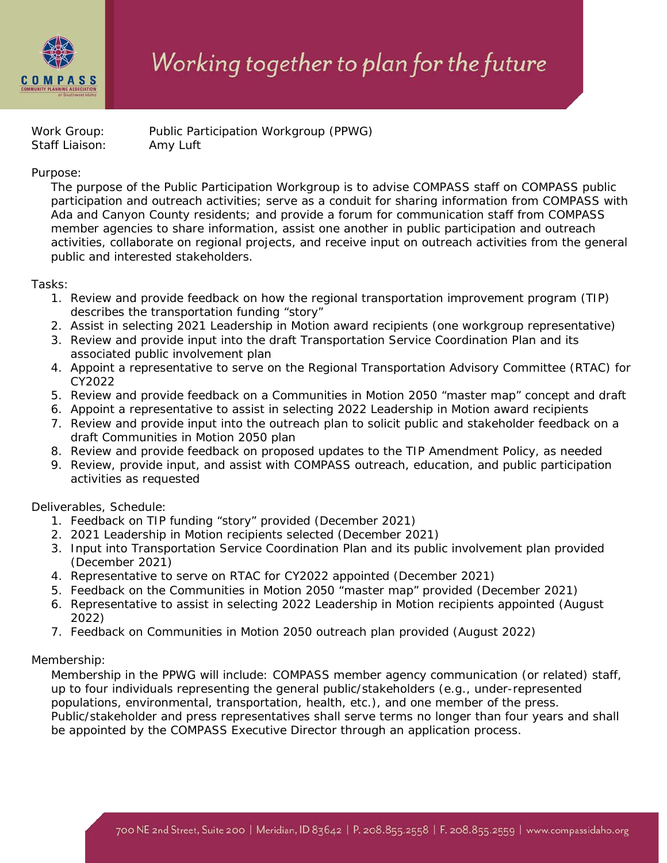

## Working together to plan for the future

Staff Liaison: Amy Luft

Work Group: Public Participation Workgroup (PPWG)

## Purpose:

The purpose of the Public Participation Workgroup is to advise COMPASS staff on COMPASS public participation and outreach activities; serve as a conduit for sharing information from COMPASS with Ada and Canyon County residents; and provide a forum for communication staff from COMPASS member agencies to share information, assist one another in public participation and outreach activities, collaborate on regional projects, and receive input on outreach activities from the general public and interested stakeholders.

## Tasks:

- 1. Review and provide feedback on how the regional transportation improvement program (TIP) describes the transportation funding "story"
- 2. Assist in selecting 2021 Leadership in Motion award recipients (one workgroup representative)
- 3. Review and provide input into the draft Transportation Service Coordination Plan and its associated public involvement plan
- 4. Appoint a representative to serve on the Regional Transportation Advisory Committee (RTAC) for CY2022
- 5. Review and provide feedback on a *Communities in Motion 2050* "master map" concept and draft
- 6. Appoint a representative to assist in selecting 2022 Leadership in Motion award recipients
- 7. Review and provide input into the outreach plan to solicit public and stakeholder feedback on a draft *Communities in Motion 2050* plan
- 8. Review and provide feedback on proposed updates to the TIP Amendment Policy, as needed
- 9. Review, provide input, and assist with COMPASS outreach, education, and public participation activities as requested

Deliverables, Schedule:

- 1. Feedback on TIP funding "story" provided (December 2021)
- 2. 2021 Leadership in Motion recipients selected (December 2021)
- 3. Input into Transportation Service Coordination Plan and its public involvement plan provided (December 2021)
- 4. Representative to serve on RTAC for CY2022 appointed (December 2021)
- 5. Feedback on the *Communities in Motion 2050* "master map" provided (December 2021)
- 6. Representative to assist in selecting 2022 Leadership in Motion recipients appointed (August 2022)
- 7. Feedback on *Communities in Motion 2050* outreach plan provided (August 2022)

## Membership:

Membership in the PPWG will include: COMPASS member agency communication (or related) staff, up to four individuals representing the general public/stakeholders (e.g., under-represented populations, environmental, transportation, health, etc.), and one member of the press. Public/stakeholder and press representatives shall serve terms no longer than four years and shall be appointed by the COMPASS Executive Director through an application process.